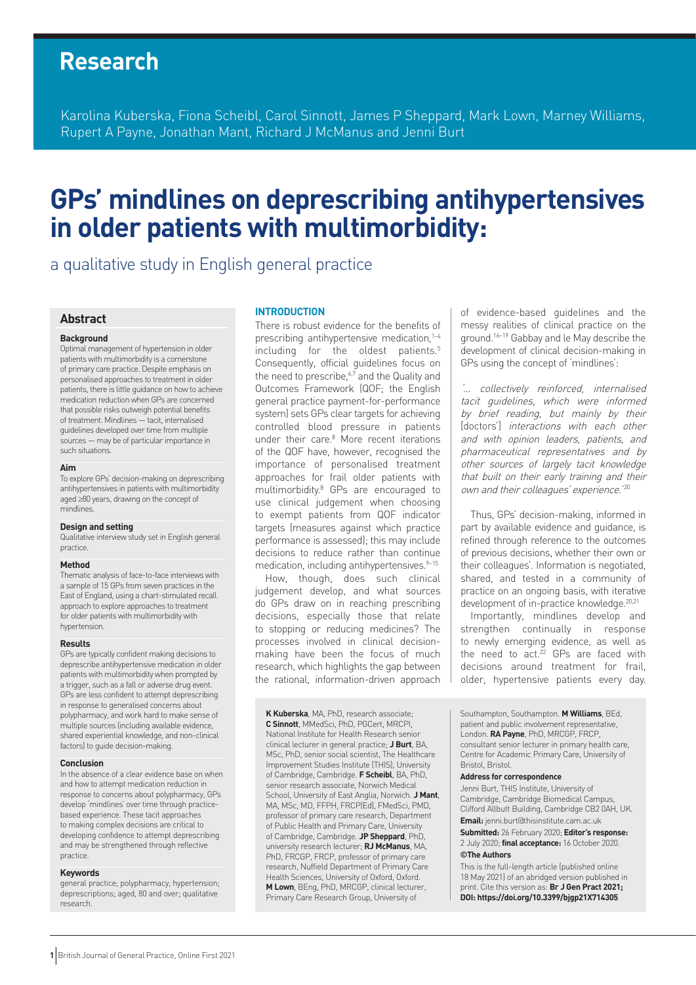# **Research**

Karolina Kuberska, Fiona Scheibl, Carol Sinnott, James P Sheppard, Mark Lown, Marney Williams, Rupert A Payne, Jonathan Mant, Richard J McManus and Jenni Burt

# **GPs' mindlines on deprescribing antihypertensives in older patients with multimorbidity:**

a qualitative study in English general practice

## **Abstract**

#### **Background**

Optimal management of hypertension in older patients with multimorbidity is a cornerstone of primary care practice. Despite emphasis on personalised approaches to treatment in older patients, there is little guidance on how to achieve medication reduction when GPs are concerned that possible risks outweigh potential benefits of treatment. Mindlines — tacit, internalised guidelines developed over time from multiple sources — may be of particular importance in such situations.

#### **Aim**

To explore GPs' decision-making on deprescribing antihypertensives in patients with multimorbidity aged ≥80 years, drawing on the concept of mindlines.

#### **Design and setting**

Qualitative interview study set in English general practice.

#### **Method**

Thematic analysis of face-to-face interviews with a sample of 15 GPs from seven practices in the East of England, using a chart-stimulated recall approach to explore approaches to treatment for older patients with multimorbidity with hypertension.

#### **Results**

GPs are typically confident making decisions to deprescribe antihypertensive medication in older patients with multimorbidity when prompted by a trigger, such as a fall or adverse drug event. GPs are less confident to attempt deprescribing in response to generalised concerns about polypharmacy, and work hard to make sense of multiple sources (including available evidence, shared experiential knowledge, and non-clinical factors) to guide decision-making.

#### **Conclusion**

In the absence of a clear evidence base on when and how to attempt medication reduction in response to concerns about polypharmacy, GPs develop 'mindlines' over time through practicebased experience. These tacit approaches to making complex decisions are critical to developing confidence to attempt deprescribing and may be strengthened through reflective practice.

#### **Keywords**

general practice; polypharmacy; hypertension; deprescriptions; aged, 80 and over; qualitative research.

#### **INTRODUCTION**

There is robust evidence for the benefits of prescribing antihypertensive medication,<sup>1-4</sup> including for the oldest patients.<sup>5</sup> Consequently, official guidelines focus on the need to prescribe, $6\overline{7}$  and the Quality and Outcomes Framework (QOF; the English general practice payment-for-performance system) sets GPs clear targets for achieving controlled blood pressure in patients under their care.<sup>8</sup> More recent iterations of the QOF have, however, recognised the importance of personalised treatment approaches for frail older patients with multimorbidity.8 GPs are encouraged to use clinical judgement when choosing to exempt patients from QOF indicator targets (measures against which practice performance is assessed); this may include decisions to reduce rather than continue medication, including antihypertensives.<sup>9-15</sup>

How, though, does such clinical judgement develop, and what sources do GPs draw on in reaching prescribing decisions, especially those that relate to stopping or reducing medicines? The processes involved in clinical decisionmaking have been the focus of much research, which highlights the gap between the rational, information-driven approach

**K Kuberska**, MA, PhD, research associate; **C Sinnott**, MMedSci, PhD, PGCert, MRCPI, National Institute for Health Research senior clinical lecturer in general practice; **J Burt**, BA, MSc, PhD, senior social scientist, The Healthcare Improvement Studies Institute (THIS), University of Cambridge, Cambridge. **F Scheibl**, BA, PhD, senior research associate, Norwich Medical School, University of East Anglia, Norwich. **J Mant**, MA, MSc, MD, FFPH, FRCP(Ed), FMedSci, PMD, professor of primary care research, Department of Public Health and Primary Care, University of Cambridge, Cambridge. **JP Sheppard**, PhD, university research lecturer; **RJ McManus**, MA, PhD, FRCGP, FRCP, professor of primary care research, Nuffield Department of Primary Care Health Sciences, University of Oxford, Oxford. **M Lown**, BEng, PhD, MRCGP, clinical lecturer, Primary Care Research Group, University of

of evidence-based guidelines and the messy realities of clinical practice on the ground.16–19 Gabbay and le May describe the development of clinical decision-making in GPs using the concept of 'mindlines':

'… collectively reinforced, internalised tacit guidelines, which were informed by brief reading, but mainly by their [doctors'] interactions with each other and with opinion leaders, patients, and pharmaceutical representatives and by other sources of largely tacit knowledge that built on their early training and their own and their colleagues' experience.<sup>'20</sup>

Thus, GPs' decision-making, informed in part by available evidence and guidance, is refined through reference to the outcomes of previous decisions, whether their own or their colleagues'. Information is negotiated, shared, and tested in a community of practice on an ongoing basis, with iterative development of in-practice knowledge.<sup>20,21</sup>

Importantly, mindlines develop and strengthen continually in response to newly emerging evidence, as well as the need to  $act.^{22}$  GPs are faced with decisions around treatment for frail, older, hypertensive patients every day.

Southampton, Southampton. **M Williams**, BEd, patient and public involvement representative, London. **RA Payne**, PhD, MRCGP, FRCP, consultant senior lecturer in primary health care, Centre for Academic Primary Care, University of Bristol, Bristol.

#### **Address for correspondence**

Jenni Burt, THIS Institute, University of Cambridge, Cambridge Biomedical Campus, Clifford Allbutt Building, Cambridge CB2 0AH, UK. **Email:** jenni.burt@thisinstitute.cam.ac.uk

**Submitted:** 26 February 2020; **Editor's response:** 2 July 2020; **final acceptance:** 16 October 2020. **©The Authors**

This is the full-length article (published online 18 May 2021) of an abridged version published in print. Cite this version as: **Br J Gen Pract 2021; DOI: https://doi.org/10.3399/bjgp21X714305**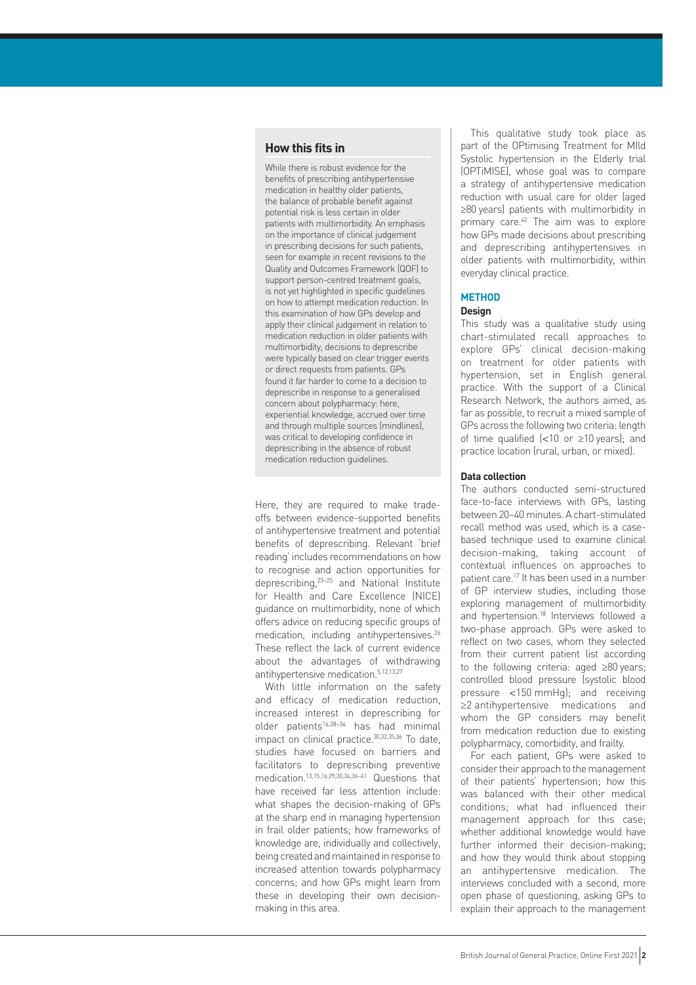## **How this fits in**

While there is robust evidence for the benefits of prescribing antihypertensive medication in healthy older patients, the balance of probable benefit against potential risk is less certain in older patients with multimorbidity. An emphasis on the importance of clinical judgement in prescribing decisions for such patients, seen for example in recent revisions to the Quality and Outcomes Framework (QOF) to support person-centred treatment goals, is not yet highlighted in specific guidelines on how to attempt medication reduction. In this examination of how GPs develop and apply their clinical judgement in relation to medication reduction in older patients with multimorbidity, decisions to deprescribe were typically based on clear trigger events or direct requests from patients. GPs found it far harder to come to a decision to deprescribe in response to a generalised concern about polypharmacy: here, experiential knowledge, accrued over time and through multiple sources (mindlines), was critical to developing confidence in deprescribing in the absence of robust medication reduction guidelines.

Here, they are required to make tradeoffs between evidence-supported benefits of antihypertensive treatment and potential benefits of deprescribing. Relevant 'brief reading' includes recommendations on how to recognise and action opportunities for deprescribing,23–25 and National Institute for Health and Care Excellence (NICE) guidance on multimorbidity, none of which offers advice on reducing specific groups of medication, including antihypertensives.<sup>26</sup> These reflect the lack of current evidence about the advantages of withdrawing antihypertensive medication.5,12,13,27

With little information on the safety and efficacy of medication reduction, increased interest in deprescribing for older patients16,28–34 has had minimal impact on clinical practice.30,32,35,36 To date, studies have focused on barriers and facilitators to deprescribing preventive medication<sup>13,15,16,29,30,34,36-41</sup> Questions that have received far less attention include: what shapes the decision-making of GPs at the sharp end in managing hypertension in frail older patients; how frameworks of knowledge are, individually and collectively, being created and maintained in response to increased attention towards polypharmacy concerns; and how GPs might learn from these in developing their own decisionmaking in this area.

This qualitative study took place as part of the OPtimising Treatment for MIld Systolic hypertension in the Elderly trial (OPTiMISE), whose goal was to compare a strategy of antihypertensive medication reduction with usual care for older (aged ≥80 years) patients with multimorbidity in primary care.42 The aim was to explore how GPs made decisions about prescribing and deprescribing antihypertensives in older patients with multimorbidity, within everyday clinical practice.

## **METHOD**

#### **Design**

This study was a qualitative study using chart-stimulated recall approaches to explore GPs' clinical decision-making on treatment for older patients with hypertension, set in English general practice. With the support of a Clinical Research Network, the authors aimed, as far as possible, to recruit a mixed sample of GPs across the following two criteria: length of time qualified  $\left( < 10$  or  $\geq 10$  years); and practice location (rural, urban, or mixed).

## **Data collection**

The authors conducted semi-structured face-to-face interviews with GPs, lasting between 20–40 minutes. A chart-stimulated recall method was used, which is a casebased technique used to examine clinical decision-making, taking account of contextual influences on approaches to patient care.17 It has been used in a number of GP interview studies, including those exploring management of multimorbidity and hypertension.<sup>18</sup> Interviews followed a two-phase approach. GPs were asked to reflect on two cases, whom they selected from their current patient list according to the following criteria: aged ≥80 years; controlled blood pressure (systolic blood pressure <150 mmHg); and receiving ≥2 antihypertensive medications and whom the GP considers may benefit from medication reduction due to existing polypharmacy, comorbidity, and frailty.

For each patient, GPs were asked to consider their approach to the management of their patients' hypertension; how this was balanced with their other medical conditions; what had influenced their management approach for this case; whether additional knowledge would have further informed their decision-making; and how they would think about stopping an antihypertensive medication. The interviews concluded with a second, more open phase of questioning, asking GPs to explain their approach to the management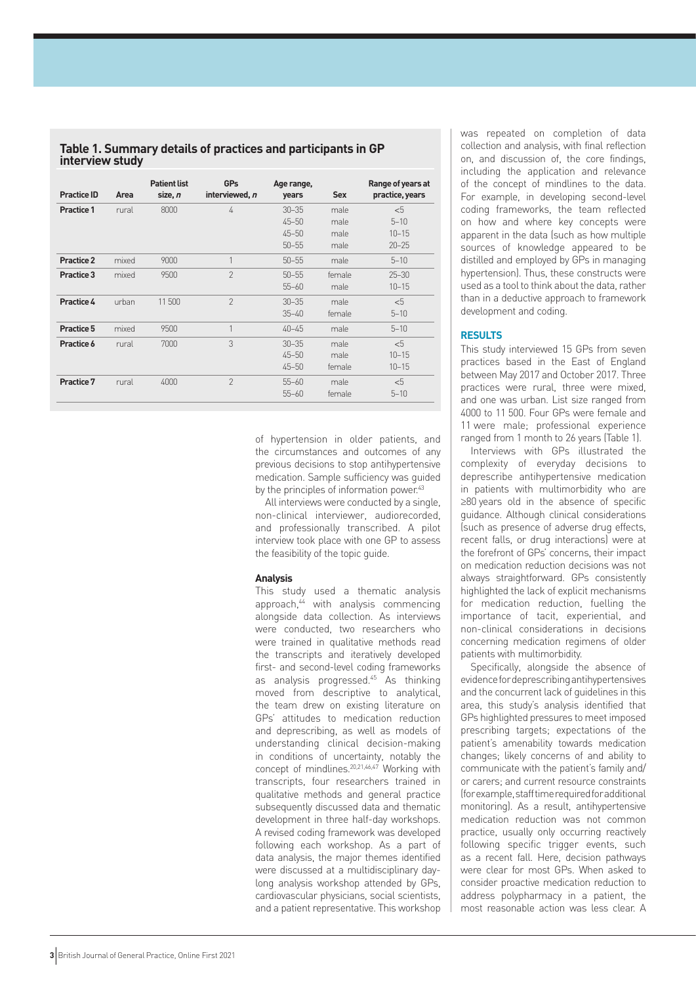**Table 1. Summary details of practices and participants in GP interview study**

| <b>Practice ID</b> | Area  | <b>Patient list</b><br>size, n | <b>GPs</b><br>interviewed, n | Age range,<br>years | <b>Sex</b> | Range of years at<br>practice, years |
|--------------------|-------|--------------------------------|------------------------------|---------------------|------------|--------------------------------------|
| <b>Practice 1</b>  | rural | 8000                           | 4                            | $30 - 35$           | male       | $<$ 5                                |
|                    |       |                                |                              | $45 - 50$           | male       | $5 - 10$                             |
|                    |       |                                |                              | $45 - 50$           | male       | $10 - 15$                            |
|                    |       |                                |                              | $50 - 55$           | male       | $20 - 25$                            |
| Practice 2         | mixed | 9000                           |                              | $50 - 55$           | male       | $5 - 10$                             |
| Practice 3         | mixed | 9500                           | $\mathcal{P}$                | $50 - 55$           | female     | $25 - 30$                            |
|                    |       |                                |                              | $55 - 60$           | male       | $10 - 15$                            |
| Practice 4         | urban | 11500                          | $\mathfrak{D}$               | $30 - 35$           | male       | < 5                                  |
|                    |       |                                |                              | $35 - 40$           | female     | $5 - 10$                             |
| Practice 5         | mixed | 9500                           | 1                            | $40 - 45$           | male       | $5 - 10$                             |
| Practice 6         | rural | 7000                           | 3                            | $30 - 35$           | male       | < 5                                  |
|                    |       |                                |                              | $45 - 50$           | male       | $10 - 15$                            |
|                    |       |                                |                              | $45 - 50$           | female     | $10 - 15$                            |
| Practice 7         | rural | 4000                           | $\mathfrak{D}$               | $55 - 60$           | male       | < 5                                  |
|                    |       |                                |                              | $55 - 60$           | female     | $5 - 10$                             |

of hypertension in older patients, and the circumstances and outcomes of any previous decisions to stop antihypertensive medication. Sample sufficiency was guided by the principles of information power.<sup>43</sup>

All interviews were conducted by a single, non-clinical interviewer, audiorecorded, and professionally transcribed. A pilot interview took place with one GP to assess the feasibility of the topic guide.

#### **Analysis**

This study used a thematic analysis approach,<sup>44</sup> with analysis commencing alongside data collection. As interviews were conducted, two researchers who were trained in qualitative methods read the transcripts and iteratively developed first- and second-level coding frameworks as analysis progressed.<sup>45</sup> As thinking moved from descriptive to analytical, the team drew on existing literature on GPs' attitudes to medication reduction and deprescribing, as well as models of understanding clinical decision-making in conditions of uncertainty, notably the concept of mindlines.20,21,46,47 Working with transcripts, four researchers trained in qualitative methods and general practice subsequently discussed data and thematic development in three half-day workshops. A revised coding framework was developed following each workshop. As a part of data analysis, the major themes identified were discussed at a multidisciplinary daylong analysis workshop attended by GPs, cardiovascular physicians, social scientists, and a patient representative. This workshop was repeated on completion of data collection and analysis, with final reflection on, and discussion of, the core findings, including the application and relevance of the concept of mindlines to the data. For example, in developing second-level coding frameworks, the team reflected on how and where key concepts were apparent in the data (such as how multiple sources of knowledge appeared to be distilled and employed by GPs in managing hypertension). Thus, these constructs were used as a tool to think about the data, rather than in a deductive approach to framework development and coding.

## **RESULTS**

This study interviewed 15 GPs from seven practices based in the East of England between May 2017 and October 2017. Three practices were rural, three were mixed, and one was urban. List size ranged from 4000 to 11 500. Four GPs were female and 11 were male; professional experience ranged from 1 month to 26 years (Table 1).

Interviews with GPs illustrated the complexity of everyday decisions to deprescribe antihypertensive medication in patients with multimorbidity who are ≥80 years old in the absence of specific guidance. Although clinical considerations (such as presence of adverse drug effects, recent falls, or drug interactions) were at the forefront of GPs' concerns, their impact on medication reduction decisions was not always straightforward. GPs consistently highlighted the lack of explicit mechanisms for medication reduction, fuelling the importance of tacit, experiential, and non-clinical considerations in decisions concerning medication regimens of older patients with multimorbidity.

Specifically, alongside the absence of evidence for deprescribing antihypertensives and the concurrent lack of guidelines in this area, this study's analysis identified that GPs highlighted pressures to meet imposed prescribing targets; expectations of the patient's amenability towards medication changes; likely concerns of and ability to communicate with the patient's family and/ or carers; and current resource constraints (for example, staff time required for additional monitoring). As a result, antihypertensive medication reduction was not common practice, usually only occurring reactively following specific trigger events, such as a recent fall. Here, decision pathways were clear for most GPs. When asked to consider proactive medication reduction to address polypharmacy in a patient, the most reasonable action was less clear. A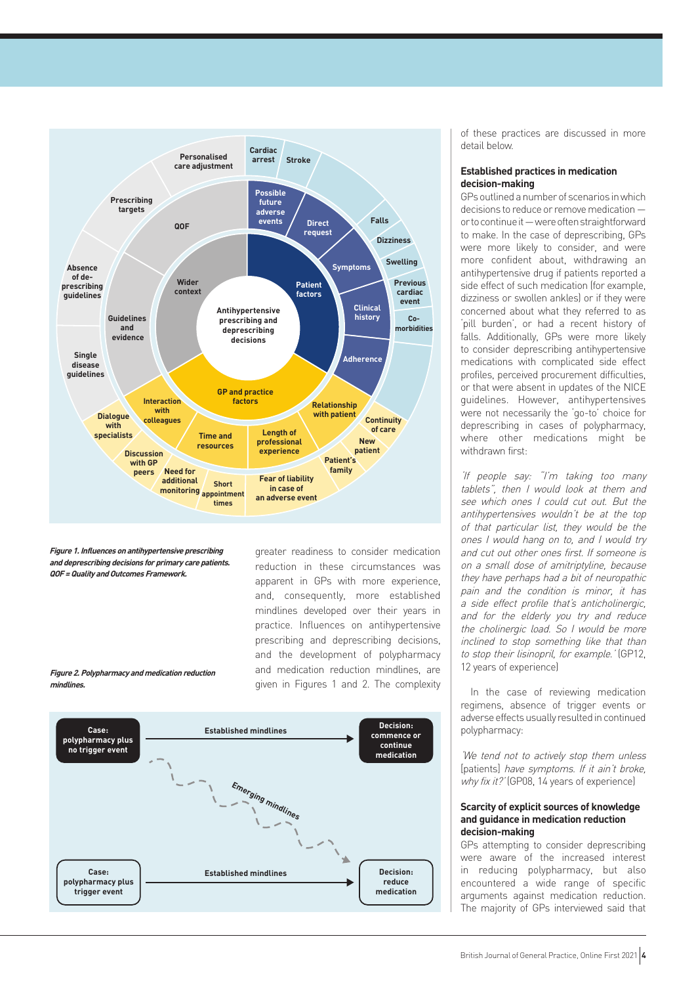

**Figure 1. Influences on antihypertensive prescribing and deprescribing decisions for primary care patients. QOF = Quality and Outcomes Framework.** 

**Figure 2. Polypharmacy and medication reduction** 

**mindlines.**

greater readiness to consider medication reduction in these circumstances was apparent in GPs with more experience, and, consequently, more established mindlines developed over their years in practice. Influences on antihypertensive prescribing and deprescribing decisions, and the development of polypharmacy and medication reduction mindlines, are given in Figures 1 and 2. The complexity



of these practices are discussed in more detail below.

## **Established practices in medication decision-making**

GPs outlined a number of scenarios in which decisions to reduce or remove medication or to continue it — were often straightforward to make. In the case of deprescribing, GPs were more likely to consider, and were more confident about, withdrawing an antihypertensive drug if patients reported a side effect of such medication (for example, dizziness or swollen ankles) or if they were concerned about what they referred to as 'pill burden', or had a recent history of falls. Additionally, GPs were more likely to consider deprescribing antihypertensive medications with complicated side effect profiles, perceived procurement difficulties, or that were absent in updates of the NICE guidelines. However, antihypertensives were not necessarily the 'go-to' choice for deprescribing in cases of polypharmacy, where other medications might be withdrawn first:

'If people say: "I'm taking too many tablets", then I would look at them and see which ones I could cut out. But the antihypertensives wouldn't be at the top of that particular list, they would be the ones I would hang on to, and I would try and cut out other ones first. If someone is on a small dose of amitriptyline, because they have perhaps had a bit of neuropathic pain and the condition is minor, it has a side effect profile that's anticholinergic, and for the elderly you try and reduce the cholinergic load. So I would be more inclined to stop something like that than to stop their lisinopril, for example.' (GP12, 12 years of experience)

In the case of reviewing medication regimens, absence of trigger events or adverse effects usually resulted in continued polypharmacy:

'We tend not to actively stop them unless [patients] have symptoms. If it ain't broke, why fix it?' (GP08, 14 years of experience)

## **Scarcity of explicit sources of knowledge and guidance in medication reduction decision-making**

GPs attempting to consider deprescribing were aware of the increased interest in reducing polypharmacy, but also encountered a wide range of specific arguments against medication reduction. The majority of GPs interviewed said that

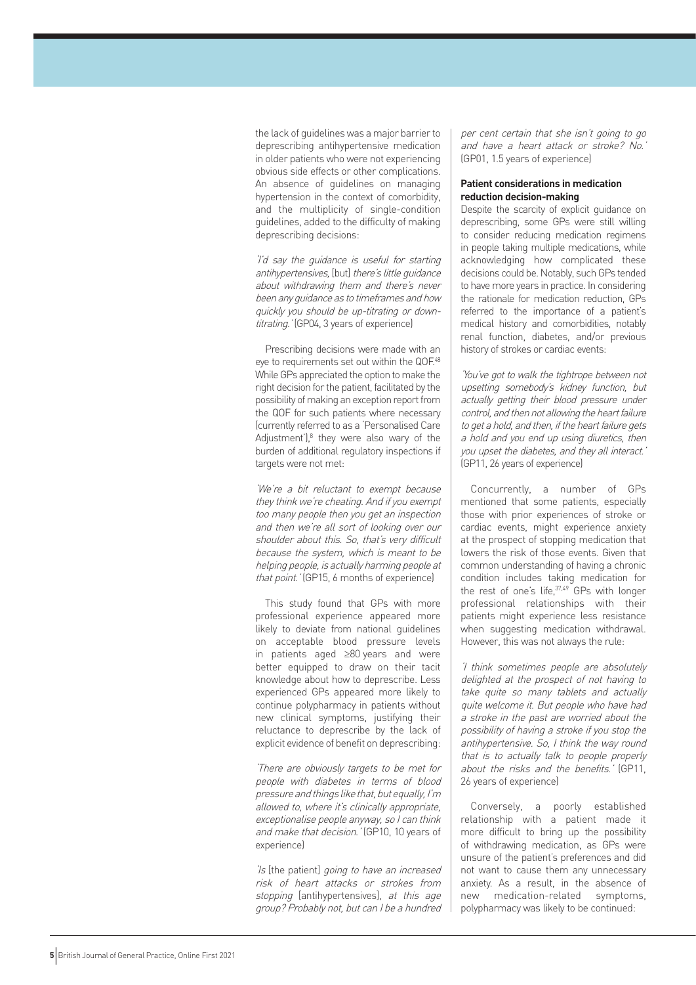the lack of guidelines was a major barrier to deprescribing antihypertensive medication in older patients who were not experiencing obvious side effects or other complications. An absence of guidelines on managing hypertension in the context of comorbidity, and the multiplicity of single-condition guidelines, added to the difficulty of making deprescribing decisions:

'I'd say the guidance is useful for starting antihypertensives, [but] there's little guidance about withdrawing them and there's never been any guidance as to timeframes and how quickly you should be up-titrating or downtitrating.' (GP04, 3 years of experience)

Prescribing decisions were made with an eye to requirements set out within the QOF.48 While GPs appreciated the option to make the right decision for the patient, facilitated by the possibility of making an exception report from the QOF for such patients where necessary (currently referred to as a 'Personalised Care Adjustment'), $8$  they were also wary of the burden of additional regulatory inspections if targets were not met:

'We're a bit reluctant to exempt because they think we're cheating. And if you exempt too many people then you get an inspection and then we're all sort of looking over our shoulder about this. So, that's very difficult because the system, which is meant to be helping people, is actually harming people at that point.' (GP15, 6 months of experience)

This study found that GPs with more professional experience appeared more likely to deviate from national guidelines on acceptable blood pressure levels in patients aged ≥80 years and were better equipped to draw on their tacit knowledge about how to deprescribe. Less experienced GPs appeared more likely to continue polypharmacy in patients without new clinical symptoms, justifying their reluctance to deprescribe by the lack of explicit evidence of benefit on deprescribing:

'There are obviously targets to be met for people with diabetes in terms of blood pressure and things like that, but equally, I'm allowed to, where it's clinically appropriate, exceptionalise people anyway, so I can think and make that decision.' (GP10, 10 years of experience)

'Is [the patient] going to have an increased risk of heart attacks or strokes from stopping [antihypertensives], at this age group? Probably not, but can I be a hundred

per cent certain that she isn't going to go and have a heart attack or stroke? No.' (GP01, 1.5 years of experience)

#### **Patient considerations in medication reduction decision-making**

Despite the scarcity of explicit guidance on deprescribing, some GPs were still willing to consider reducing medication regimens in people taking multiple medications, while acknowledging how complicated these decisions could be. Notably, such GPs tended to have more years in practice. In considering the rationale for medication reduction, GPs referred to the importance of a patient's medical history and comorbidities, notably renal function, diabetes, and/or previous history of strokes or cardiac events:

'You've got to walk the tightrope between not upsetting somebody's kidney function, but actually getting their blood pressure under control, and then not allowing the heart failure to get a hold, and then, if the heart failure gets a hold and you end up using diuretics, then you upset the diabetes, and they all interact.' (GP11, 26 years of experience)

Concurrently, a number of GPs mentioned that some patients, especially those with prior experiences of stroke or cardiac events, might experience anxiety at the prospect of stopping medication that lowers the risk of those events. Given that common understanding of having a chronic condition includes taking medication for the rest of one's life, 37,49 GPs with longer professional relationships with their patients might experience less resistance when suggesting medication withdrawal. However, this was not always the rule:

'I think sometimes people are absolutely delighted at the prospect of not having to take quite so many tablets and actually quite welcome it. But people who have had a stroke in the past are worried about the possibility of having a stroke if you stop the antihypertensive. So, I think the way round that is to actually talk to people properly about the risks and the benefits.' (GP11, 26 years of experience)

Conversely, a poorly established relationship with a patient made it more difficult to bring up the possibility of withdrawing medication, as GPs were unsure of the patient's preferences and did not want to cause them any unnecessary anxiety. As a result, in the absence of new medication-related symptoms, polypharmacy was likely to be continued: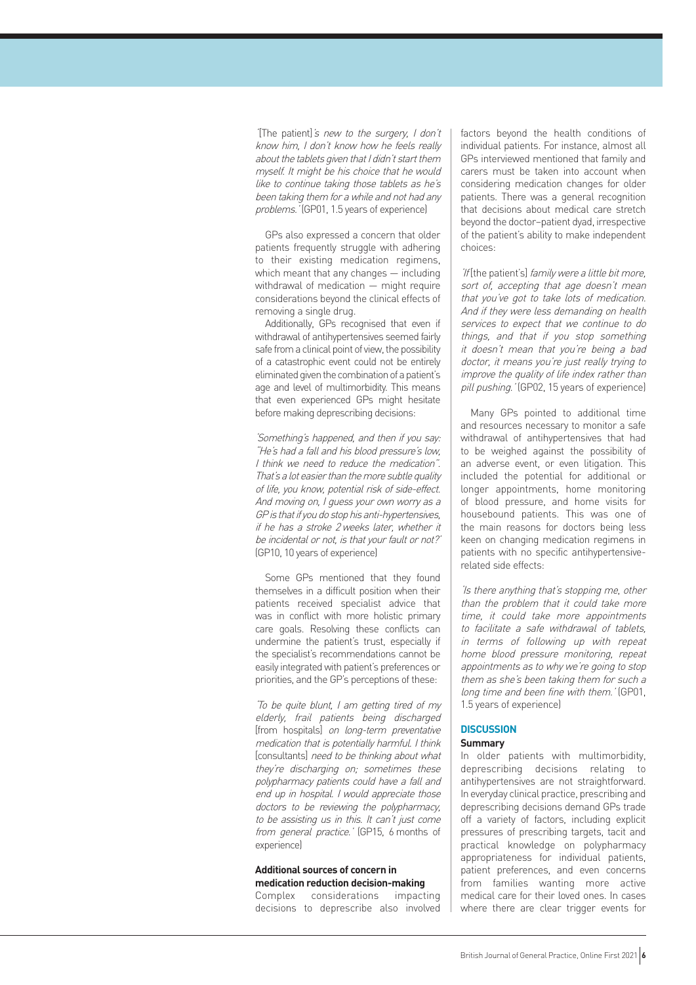'[The patient]'s new to the surgery, I don't know him, I don't know how he feels really about the tablets given that I didn't start them myself. It might be his choice that he would like to continue taking those tablets as he's been taking them for a while and not had any problems.' (GP01, 1.5 years of experience)

GPs also expressed a concern that older patients frequently struggle with adhering to their existing medication regimens, which meant that any changes — including withdrawal of medication — might require considerations beyond the clinical effects of removing a single drug.

Additionally, GPs recognised that even if withdrawal of antihypertensives seemed fairly safe from a clinical point of view, the possibility of a catastrophic event could not be entirely eliminated given the combination of a patient's age and level of multimorbidity. This means that even experienced GPs might hesitate before making deprescribing decisions:

'Something's happened, and then if you say: "He's had a fall and his blood pressure's low, I think we need to reduce the medication". That's a lot easier than the more subtle quality of life, you know, potential risk of side-effect. And moving on, I guess your own worry as a GP is that if you do stop his anti-hypertensives, if he has a stroke 2 weeks later, whether it be incidental or not, is that your fault or not?' (GP10, 10 years of experience)

Some GPs mentioned that they found themselves in a difficult position when their patients received specialist advice that was in conflict with more holistic primary care goals. Resolving these conflicts can undermine the patient's trust, especially if the specialist's recommendations cannot be easily integrated with patient's preferences or priorities, and the GP's perceptions of these:

'To be quite blunt, I am getting tired of my elderly, frail patients being discharged [from hospitals] on long-term preventative medication that is potentially harmful. I think [consultants] need to be thinking about what they're discharging on; sometimes these polypharmacy patients could have a fall and end up in hospital. I would appreciate those doctors to be reviewing the polypharmacy, to be assisting us in this. It can't just come from general practice.' (GP15, 6 months of experience)

### **Additional sources of concern in medication reduction decision-making**

Complex considerations impacting decisions to deprescribe also involved factors beyond the health conditions of individual patients. For instance, almost all GPs interviewed mentioned that family and carers must be taken into account when considering medication changes for older patients. There was a general recognition that decisions about medical care stretch beyond the doctor–patient dyad, irrespective of the patient's ability to make independent choices:

'If [the patient's] family were a little bit more, sort of, accepting that age doesn't mean that you've got to take lots of medication. And if they were less demanding on health services to expect that we continue to do things, and that if you stop something it doesn't mean that you're being a bad doctor, it means you're just really trying to improve the quality of life index rather than pill pushing.' (GP02, 15 years of experience)

Many GPs pointed to additional time and resources necessary to monitor a safe withdrawal of antihypertensives that had to be weighed against the possibility of an adverse event, or even litigation. This included the potential for additional or longer appointments, home monitoring of blood pressure, and home visits for housebound patients. This was one of the main reasons for doctors being less keen on changing medication regimens in patients with no specific antihypertensiverelated side effects:

'Is there anything that's stopping me, other than the problem that it could take more time, it could take more appointments to facilitate a safe withdrawal of tablets, in terms of following up with repeat home blood pressure monitoring, repeat appointments as to why we're going to stop them as she's been taking them for such a long time and been fine with them.' (GP01, 1.5 years of experience)

## **DISCUSSION**

## **Summary**

In older patients with multimorbidity, deprescribing decisions relating to antihypertensives are not straightforward. In everyday clinical practice, prescribing and deprescribing decisions demand GPs trade off a variety of factors, including explicit pressures of prescribing targets, tacit and practical knowledge on polypharmacy appropriateness for individual patients, patient preferences, and even concerns from families wanting more active medical care for their loved ones. In cases where there are clear trigger events for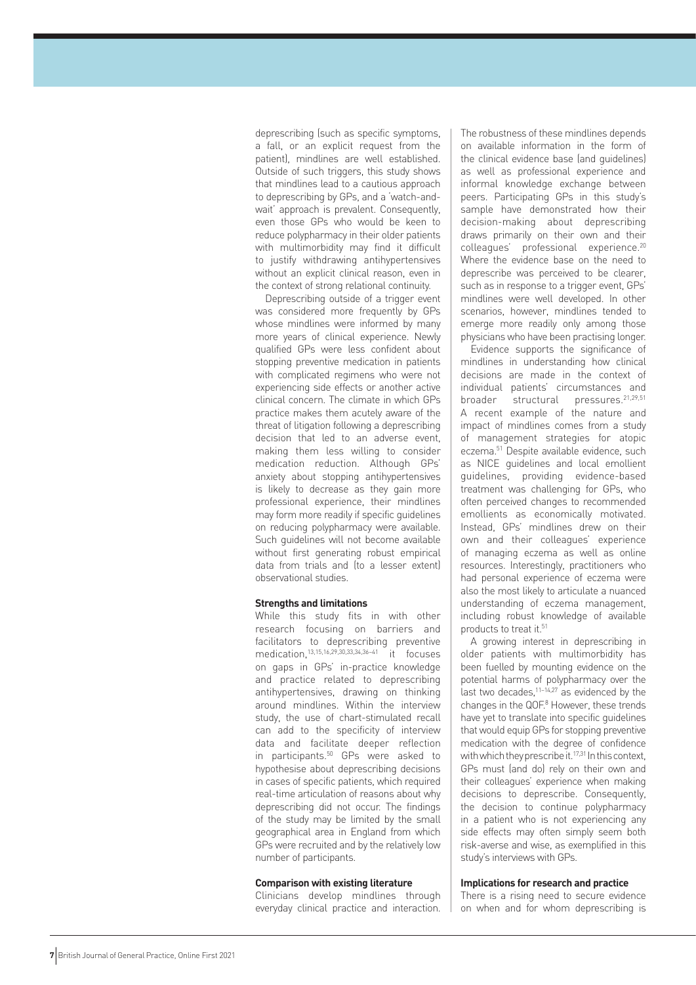deprescribing (such as specific symptoms, a fall, or an explicit request from the patient), mindlines are well established. Outside of such triggers, this study shows that mindlines lead to a cautious approach to deprescribing by GPs, and a 'watch-andwait' approach is prevalent. Consequently, even those GPs who would be keen to reduce polypharmacy in their older patients with multimorbidity may find it difficult to justify withdrawing antihypertensives without an explicit clinical reason, even in the context of strong relational continuity.

Deprescribing outside of a trigger event was considered more frequently by GPs whose mindlines were informed by many more years of clinical experience. Newly qualified GPs were less confident about stopping preventive medication in patients with complicated regimens who were not experiencing side effects or another active clinical concern. The climate in which GPs practice makes them acutely aware of the threat of litigation following a deprescribing decision that led to an adverse event, making them less willing to consider medication reduction. Although GPs' anxiety about stopping antihypertensives is likely to decrease as they gain more professional experience, their mindlines may form more readily if specific guidelines on reducing polypharmacy were available. Such guidelines will not become available without first generating robust empirical data from trials and (to a lesser extent) observational studies.

#### **Strengths and limitations**

While this study fits in with other research focusing on barriers and facilitators to deprescribing preventive medication,<sup>13,15,16,29,30,33,34,36-41</sup> it focuses on gaps in GPs' in-practice knowledge and practice related to deprescribing antihypertensives, drawing on thinking around mindlines. Within the interview study, the use of chart-stimulated recall can add to the specificity of interview data and facilitate deeper reflection in participants.50 GPs were asked to hypothesise about deprescribing decisions in cases of specific patients, which required real-time articulation of reasons about why deprescribing did not occur. The findings of the study may be limited by the small geographical area in England from which GPs were recruited and by the relatively low number of participants.

## **Comparison with existing literature**

Clinicians develop mindlines through everyday clinical practice and interaction. The robustness of these mindlines depends on available information in the form of the clinical evidence base (and guidelines) as well as professional experience and informal knowledge exchange between peers. Participating GPs in this study's sample have demonstrated how their decision-making about deprescribing draws primarily on their own and their colleagues' professional experience.20 Where the evidence base on the need to deprescribe was perceived to be clearer, such as in response to a trigger event, GPs' mindlines were well developed. In other scenarios, however, mindlines tended to emerge more readily only among those physicians who have been practising longer.

Evidence supports the significance of mindlines in understanding how clinical decisions are made in the context of individual patients' circumstances and broader structural pressures.<sup>21,29,51</sup> A recent example of the nature and impact of mindlines comes from a study of management strategies for atopic eczema.51 Despite available evidence, such as NICE guidelines and local emollient guidelines, providing evidence-based treatment was challenging for GPs, who often perceived changes to recommended emollients as economically motivated. Instead, GPs' mindlines drew on their own and their colleagues' experience of managing eczema as well as online resources. Interestingly, practitioners who had personal experience of eczema were also the most likely to articulate a nuanced understanding of eczema management, including robust knowledge of available products to treat it.<sup>51</sup>

A growing interest in deprescribing in older patients with multimorbidity has been fuelled by mounting evidence on the potential harms of polypharmacy over the last two decades, $11-14,27$  as evidenced by the changes in the QOF.<sup>8</sup> However, these trends have yet to translate into specific guidelines that would equip GPs for stopping preventive medication with the degree of confidence with which they prescribe it.<sup>17,31</sup> In this context. GPs must (and do) rely on their own and their colleagues' experience when making decisions to deprescribe. Consequently, the decision to continue polypharmacy in a patient who is not experiencing any side effects may often simply seem both risk-averse and wise, as exemplified in this study's interviews with GPs.

#### **Implications for research and practice**

There is a rising need to secure evidence on when and for whom deprescribing is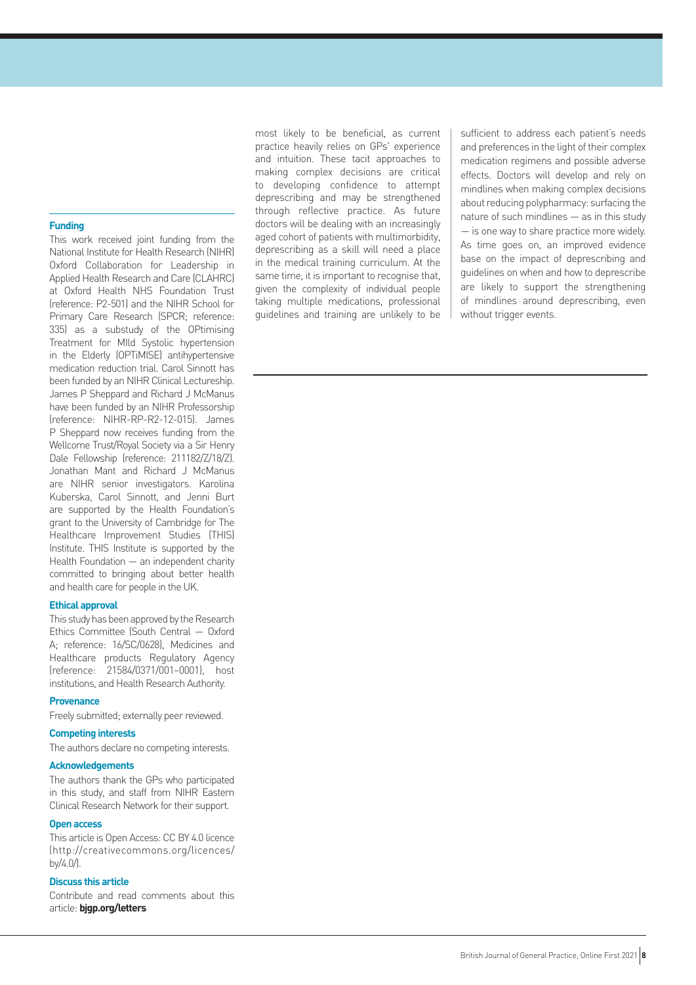### **Funding**

This work received joint funding from the National Institute for Health Research (NIHR) Oxford Collaboration for Leadership in Applied Health Research and Care (CLAHRC) at Oxford Health NHS Foundation Trust (reference: P2-501) and the NIHR School for Primary Care Research (SPCR; reference: 335) as a substudy of the OPtimising Treatment for MIld Systolic hypertension in the Elderly (OPTiMISE) antihypertensive medication reduction trial. Carol Sinnott has been funded by an NIHR Clinical Lectureship. James P Sheppard and Richard J McManus have been funded by an NIHR Professorship (reference: NIHR-RP-R2-12-015). James P Sheppard now receives funding from the Wellcome Trust/Royal Society via a Sir Henry Dale Fellowship (reference: 211182/Z/18/Z). Jonathan Mant and Richard J McManus are NIHR senior investigators. Karolina Kuberska, Carol Sinnott, and Jenni Burt are supported by the Health Foundation's grant to the University of Cambridge for The Healthcare Improvement Studies (THIS) Institute. THIS Institute is supported by the Health Foundation — an independent charity committed to bringing about better health and health care for people in the UK.

#### **Ethical approval**

This study has been approved by the Research Ethics Committee (South Central — Oxford A; reference: 16/SC/0628), Medicines and Healthcare products Regulatory Agency (reference: 21584/0371/001–0001), host institutions, and Health Research Authority.

## **Provenance**

Freely submitted; externally peer reviewed.

## **Competing interests**

The authors declare no competing interests.

## **Acknowledgements**

The authors thank the GPs who participated in this study, and staff from NIHR Eastern Clinical Research Network for their support.

## **Open access**

This article is Open Access: CC BY 4.0 licence (http://creativecommons.org/licences/ by/4.0/).

## **Discuss this article**

Contribute and read comments about this article: **bjgp.org/letters**

most likely to be beneficial, as current practice heavily relies on GPs' experience and intuition. These tacit approaches to making complex decisions are critical to developing confidence to attempt deprescribing and may be strengthened through reflective practice. As future doctors will be dealing with an increasingly aged cohort of patients with multimorbidity, deprescribing as a skill will need a place in the medical training curriculum. At the same time, it is important to recognise that, given the complexity of individual people taking multiple medications, professional guidelines and training are unlikely to be

sufficient to address each patient's needs and preferences in the light of their complex medication regimens and possible adverse effects. Doctors will develop and rely on mindlines when making complex decisions about reducing polypharmacy: surfacing the nature of such mindlines — as in this study — is one way to share practice more widely. As time goes on, an improved evidence base on the impact of deprescribing and guidelines on when and how to deprescribe are likely to support the strengthening of mindlines around deprescribing, even without trigger events.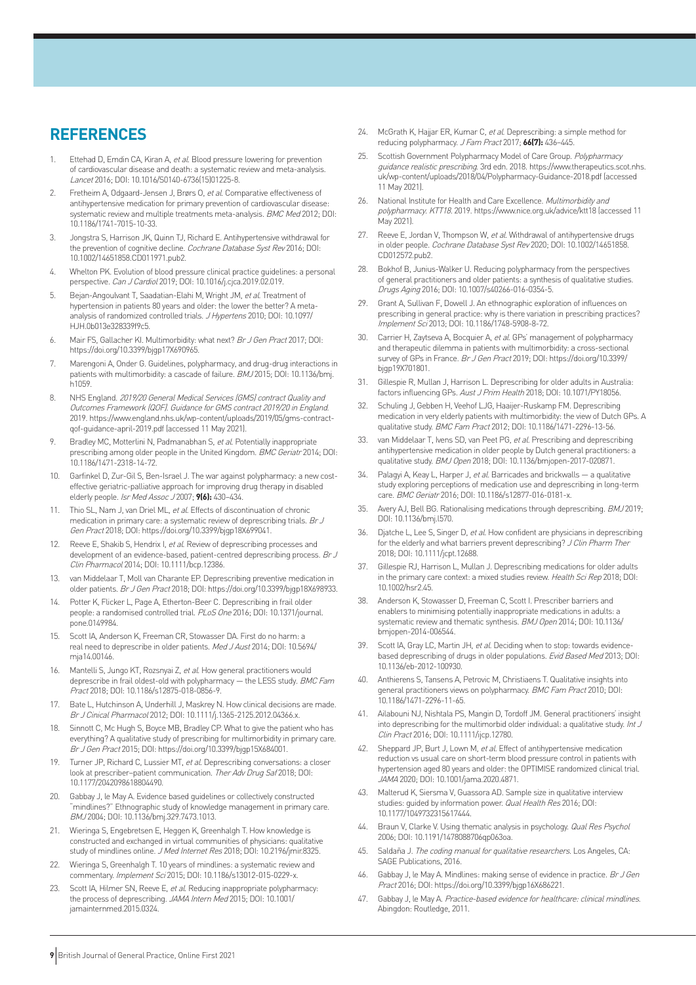## **REFERENCES**

- 1. Ettehad D, Emdin CA, Kiran A, et al. Blood pressure lowering for prevention of cardiovascular disease and death: a systematic review and meta-analysis. Lancet 2016; DOI: 10.1016/S0140-6736(15)01225-8.
- 2. Fretheim A, Odgaard-Jensen J, Brørs O, et al. Comparative effectiveness of antihypertensive medication for primary prevention of cardiovascular disease: systematic review and multiple treatments meta-analysis. BMC Med 2012; DOI: 10.1186/1741-7015-10-33.
- 3. Jongstra S, Harrison JK, Quinn TJ, Richard E. Antihypertensive withdrawal for the prevention of cognitive decline. Cochrane Database Syst Rev 2016; DOI: 10.1002/14651858.CD011971.pub2.
- 4. Whelton PK. Evolution of blood pressure clinical practice guidelines: a personal perspective. Can J Cardiol 2019; DOI: 10.1016/j.cjca.2019.02.019.
- 5. Bejan-Angoulvant T, Saadatian-Elahi M, Wright JM, et al. Treatment of hypertension in patients 80 years and older: the lower the better? A metaanalysis of randomized controlled trials. J Hypertens 2010; DOI: 10.1097/ HJH.0b013e328339f9c5.
- 6. Mair FS, Gallacher KI. Multimorbidity: what next? Br J Gen Pract 2017; DOI: https://doi.org/10.3399/bjgp17X690965.
- 7. Marengoni A, Onder G. Guidelines, polypharmacy, and drug-drug interactions in patients with multimorbidity: a cascade of failure. BMJ 2015; DOI: 10.1136/bmj. h1059.
- 8. NHS England. 2019/20 General Medical Services (GMS) contract Quality and Outcomes Framework (QOF). Guidance for GMS contract 2019/20 in England. 2019. https://www.england.nhs.uk/wp-content/uploads/2019/05/gms-contractqof-guidance-april-2019.pdf (accessed 11 May 2021).
- 9. Bradley MC, Motterlini N, Padmanabhan S, et al. Potentially inappropriate prescribing among older people in the United Kingdom. BMC Geriatr 2014; DOI: 10.1186/1471-2318-14-72.
- 10. Garfinkel D, Zur-Gil S, Ben-Israel J. The war against polypharmacy: a new costeffective geriatric-palliative approach for improving drug therapy in disabled elderly people. Isr Med Assoc J 2007; **9(6):** 430–434.
- 11. Thio SL, Nam J, van Driel ML, et al. Effects of discontinuation of chronic medication in primary care: a systematic review of deprescribing trials. Br J Gen Pract 2018; DOI: https://doi.org/10.3399/bjgp18X699041.
- 12. Reeve E, Shakib S, Hendrix I, et al. Review of deprescribing processes and development of an evidence-based, patient-centred deprescribing process. Br J Clin Pharmacol 2014; DOI: 10.1111/bcp.12386.
- 13. van Middelaar T, Moll van Charante EP. Deprescribing preventive medication in older patients. Br J Gen Pract 2018; DOI: https://doi.org/10.3399/bjgp18X698933.
- 14. Potter K, Flicker L, Page A, Etherton-Beer C. Deprescribing in frail older people: a randomised controlled trial. PLoS One 2016; DOI: 10.1371/journal. pone.0149984.
- 15. Scott IA, Anderson K, Freeman CR, Stowasser DA. First do no harm: a real need to deprescribe in older patients. Med J Aust 2014; DOI: 10.5694/ mja14.00146.
- 16. Mantelli S, Jungo KT, Rozsnyai Z, et al. How general practitioners would deprescribe in frail oldest-old with polypharmacy  $-$  the LESS study. BMC Fam Pract 2018; DOI: 10.1186/s12875-018-0856-9.
- 17. Bate L, Hutchinson A, Underhill J, Maskrey N. How clinical decisions are made. Br J Cinical Pharmacol 2012; DOI: 10.1111/j.1365-2125.2012.04366.x.
- Sinnott C, Mc Hugh S, Boyce MB, Bradley CP. What to give the patient who has everything? A qualitative study of prescribing for multimorbidity in primary care. Br J Gen Pract 2015; DOI: https://doi.org/10.3399/bjgp15X684001.
- 19. Turner JP, Richard C, Lussier MT, et al. Deprescribing conversations: a closer look at prescriber–patient communication. Ther Adv Drug Saf 2018; DOI: 10.1177/2042098618804490.
- 20. Gabbay J, le May A. Evidence based guidelines or collectively constructed "mindlines?" Ethnographic study of knowledge management in primary care. BMJ 2004; DOI: 10.1136/bmj.329.7473.1013.
- 21. Wieringa S, Engebretsen E, Heggen K, Greenhalgh T. How knowledge is constructed and exchanged in virtual communities of physicians: qualitative study of mindlines online. J Med Internet Res 2018; DOI: 10.2196/jmir.8325.
- 22. Wieringa S, Greenhalgh T. 10 years of mindlines: a systematic review and commentary. Implement Sci 2015; DOI: 10.1186/s13012-015-0229-x.
- 23. Scott IA, Hilmer SN, Reeve E, et al. Reducing inappropriate polypharmacy: the process of deprescribing. JAMA Intern Med 2015; DOI: 10.1001/ jamainternmed.2015.0324.
- 24. McGrath K, Hajjar ER, Kumar C, et al. Deprescribing: a simple method for reducing polypharmacy. J Fam Pract 2017; **66(7):** 436–445.
- 25. Scottish Government Polypharmacy Model of Care Group. Polypharmacy guidance realistic prescribing. 3rd edn. 2018. https://www.therapeutics.scot.nhs. uk/wp-content/uploads/2018/04/Polypharmacy-Guidance-2018.pdf (accessed 11 May 2021).
- 26. National Institute for Health and Care Excellence. Multimorbidity and polypharmacy. KTT18. 2019. https://www.nice.org.uk/advice/ktt18 (accessed 11 May 2021).
- 27. Reeve E, Jordan V, Thompson W, et al. Withdrawal of antihypertensive drugs in older people. Cochrane Database Syst Rev 2020; DOI: 10.1002/14651858. CD012572.pub2.
- Bokhof B, Junius-Walker U. Reducing polypharmacy from the perspectives of general practitioners and older patients: a synthesis of qualitative studies. Drugs Aging 2016; DOI: 10.1007/s40266-016-0354-5.
- 29. Grant A, Sullivan F, Dowell J. An ethnographic exploration of influences on prescribing in general practice: why is there variation in prescribing practices? Implement Sci 2013; DOI: 10.1186/1748-5908-8-72.
- 30. Carrier H, Zaytseva A, Bocquier A, et al. GPs' management of polypharmacy and therapeutic dilemma in patients with multimorbidity: a cross-sectional survey of GPs in France. Br J Gen Pract 2019; DOI: https://doi.org/10.3399/ bjgp19X701801.
- 31. Gillespie R, Mullan J, Harrison L. Deprescribing for older adults in Australia: factors influencing GPs. Aust J Prim Health 2018; DOI: 10.1071/PY18056.
- 32. Schuling J, Gebben H, Veehof LJG, Haaijer-Ruskamp FM. Deprescribing medication in very elderly patients with multimorbidity: the view of Dutch GPs. A qualitative study. BMC Fam Pract 2012; DOI: 10.1186/1471-2296-13-56.
- 33. van Middelaar T, Ivens SD, van Peet PG, et al. Prescribing and deprescribing antihypertensive medication in older people by Dutch general practitioners: a qualitative study. BMJ Open 2018; DOI: 10.1136/bmjopen-2017-020871.
- 34. Palagyi A, Keay L, Harper J, et al. Barricades and brickwalls  $-$  a qualitative study exploring perceptions of medication use and deprescribing in long-term care. BMC Geriatr 2016; DOI: 10.1186/s12877-016-0181-x.
- 35. Avery AJ, Bell BG, Rationalising medications through deprescribing. BMJ 2019; DOI: 10.1136/bmj.l570.
- 36. Djatche L, Lee S, Singer D, et al. How confident are physicians in deprescribing for the elderly and what barriers prevent deprescribing? J Clin Pharm Ther 2018; DOI: 10.1111/jcpt.12688.
- 37. Gillespie RJ, Harrison L, Mullan J. Deprescribing medications for older adults in the primary care context: a mixed studies review. Health Sci Rep 2018; DOI: 10.1002/hsr2.45.
- 38. Anderson K, Stowasser D, Freeman C, Scott I. Prescriber barriers and enablers to minimising potentially inappropriate medications in adults: a systematic review and thematic synthesis. BMJ Open 2014; DOI: 10.1136/ bmjopen-2014-006544.
- 39. Scott IA, Gray LC, Martin JH, et al. Deciding when to stop: towards evidencebased deprescribing of drugs in older populations. Evid Based Med 2013; DOI: 10.1136/eb-2012-100930.
- Anthierens S, Tansens A, Petrovic M, Christiaens T. Qualitative insights into general practitioners views on polypharmacy. BMC Fam Pract 2010; DOI: 10.1186/1471-2296-11-65.
- 41. Ailabouni NJ, Nishtala PS, Mangin D, Tordoff JM. General practitioners' insight into deprescribing for the multimorbid older individual: a qualitative study. Int J Clin Pract 2016; DOI: 10.1111/ijcp.12780.
- 42. Sheppard JP, Burt J, Lown M, et al. Effect of antihypertensive medication reduction vs usual care on short-term blood pressure control in patients with hypertension aged 80 years and older: the OPTIMISE randomized clinical trial. JAMA 2020; DOI: 10.1001/jama.2020.4871.
- 43. Malterud K, Siersma V, Guassora AD. Sample size in qualitative interview studies: guided by information power. Qual Health Res 2016; DOI: 10.1177/1049732315617444.
- Braun V, Clarke V. Using thematic analysis in psychology. Qual Res Psychol 2006; DOI: 10.1191/1478088706qp063oa.
- 45. Saldaña J. The coding manual for qualitative researchers. Los Angeles, CA: SAGE Publications, 2016.
- 46. Gabbay J, le May A. Mindlines: making sense of evidence in practice. Br J Gen Pract 2016; DOI: https://doi.org/10.3399/bjgp16X686221.
- 47. Gabbay J, le May A. Practice-based evidence for healthcare: clinical mindlines. Abingdon: Routledge, 2011.